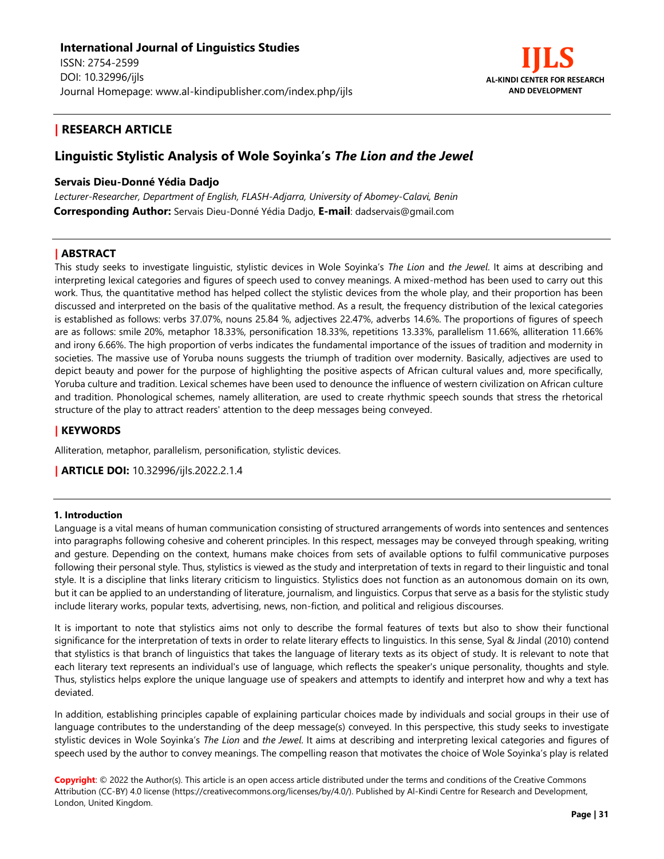

# **| RESEARCH ARTICLE**

# **Linguistic Stylistic Analysis of Wole Soyinka's** *The Lion and the Jewel*

## **Servais Dieu-Donné Yédia Dadjo**

*Lecturer-Researcher, Department of English, FLASH-Adjarra, University of Abomey-Calavi, Benin* **Corresponding Author:** Servais Dieu-Donné Yédia Dadjo, **E-mail**: dadservais@gmail.com

## **| ABSTRACT**

This study seeks to investigate linguistic, stylistic devices in Wole Soyinka's *The Lion* and *the Jewel*. It aims at describing and interpreting lexical categories and figures of speech used to convey meanings. A mixed-method has been used to carry out this work. Thus, the quantitative method has helped collect the stylistic devices from the whole play, and their proportion has been discussed and interpreted on the basis of the qualitative method. As a result, the frequency distribution of the lexical categories is established as follows: verbs 37.07%, nouns 25.84 %, adjectives 22.47%, adverbs 14.6%. The proportions of figures of speech are as follows: smile 20%, metaphor 18.33%, personification 18.33%, repetitions 13.33%, parallelism 11.66%, alliteration 11.66% and irony 6.66%. The high proportion of verbs indicates the fundamental importance of the issues of tradition and modernity in societies. The massive use of Yoruba nouns suggests the triumph of tradition over modernity. Basically, adjectives are used to depict beauty and power for the purpose of highlighting the positive aspects of African cultural values and, more specifically, Yoruba culture and tradition. Lexical schemes have been used to denounce the influence of western civilization on African culture and tradition. Phonological schemes, namely alliteration, are used to create rhythmic speech sounds that stress the rhetorical structure of the play to attract readers' attention to the deep messages being conveyed.

# **| KEYWORDS**

Alliteration, metaphor, parallelism, personification, stylistic devices.

**| ARTICLE DOI:** 10.32996/ijls.2022.2.1.4

#### **1. Introduction**

Language is a vital means of human communication consisting of structured arrangements of words into sentences and sentences into paragraphs following cohesive and coherent principles. In this respect, messages may be conveyed through speaking, writing and gesture. Depending on the context, humans make choices from sets of available options to fulfil communicative purposes following their personal style. Thus, stylistics is viewed as the study and interpretation of texts in regard to their linguistic and tonal style. It is a discipline that links literary criticism to linguistics. Stylistics does not function as an autonomous domain on its own, but it can be applied to an understanding of literature, journalism, and linguistics. Corpus that serve as a basis for the stylistic study include literary works, popular texts, advertising, news, non-fiction, and political and religious discourses.

It is important to note that stylistics aims not only to describe the formal features of texts but also to show their functional significance for the interpretation of texts in order to relate literary effects to linguistics. In this sense, Syal & Jindal (2010) contend that stylistics is that branch of linguistics that takes the language of literary texts as its object of study. It is relevant to note that each literary text represents an individual's use of language, which reflects the speaker's unique personality, thoughts and style. Thus, stylistics helps explore the unique language use of speakers and attempts to identify and interpret how and why a text has deviated.

In addition, establishing principles capable of explaining particular choices made by individuals and social groups in their use of language contributes to the understanding of the deep message(s) conveyed. In this perspective, this study seeks to investigate stylistic devices in Wole Soyinka's *The Lion* and *the Jewel*. It aims at describing and interpreting lexical categories and figures of speech used by the author to convey meanings. The compelling reason that motivates the choice of Wole Soyinka's play is related

**Copyright**: © 2022 the Author(s). This article is an open access article distributed under the terms and conditions of the Creative Commons Attribution (CC-BY) 4.0 license (https://creativecommons.org/licenses/by/4.0/). Published by Al-Kindi Centre for Research and Development, London, United Kingdom.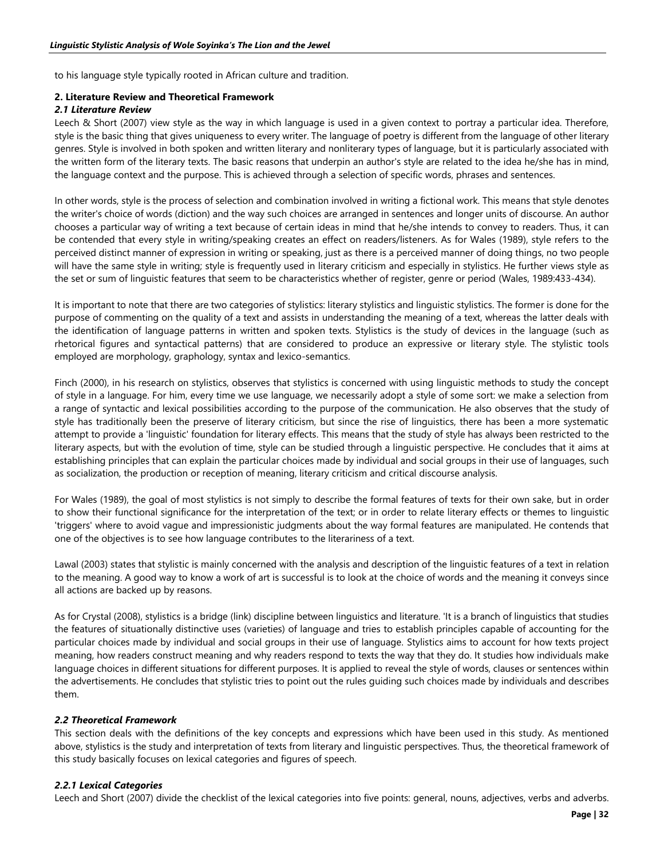to his language style typically rooted in African culture and tradition.

## **2. Literature Review and Theoretical Framework**

## *2.1 Literature Review*

Leech & Short (2007) view style as the way in which language is used in a given context to portray a particular idea. Therefore, style is the basic thing that gives uniqueness to every writer. The language of poetry is different from the language of other literary genres. Style is involved in both spoken and written literary and nonliterary types of language, but it is particularly associated with the written form of the literary texts. The basic reasons that underpin an author's style are related to the idea he/she has in mind, the language context and the purpose. This is achieved through a selection of specific words, phrases and sentences.

In other words, style is the process of selection and combination involved in writing a fictional work. This means that style denotes the writer's choice of words (diction) and the way such choices are arranged in sentences and longer units of discourse. An author chooses a particular way of writing a text because of certain ideas in mind that he/she intends to convey to readers. Thus, it can be contended that every style in writing/speaking creates an effect on readers/listeners. As for Wales (1989), style refers to the perceived distinct manner of expression in writing or speaking, just as there is a perceived manner of doing things, no two people will have the same style in writing; style is frequently used in literary criticism and especially in stylistics. He further views style as the set or sum of linguistic features that seem to be characteristics whether of register, genre or period (Wales, 1989:433-434).

It is important to note that there are two categories of stylistics: literary stylistics and linguistic stylistics. The former is done for the purpose of commenting on the quality of a text and assists in understanding the meaning of a text, whereas the latter deals with the identification of language patterns in written and spoken texts. Stylistics is the study of devices in the language (such as rhetorical figures and syntactical patterns) that are considered to produce an expressive or literary style. The stylistic tools employed are morphology, graphology, syntax and lexico-semantics.

Finch (2000), in his research on stylistics, observes that stylistics is concerned with using linguistic methods to study the concept of style in a language. For him, every time we use language, we necessarily adopt a style of some sort: we make a selection from a range of syntactic and lexical possibilities according to the purpose of the communication. He also observes that the study of style has traditionally been the preserve of literary criticism, but since the rise of linguistics, there has been a more systematic attempt to provide a 'linguistic' foundation for literary effects. This means that the study of style has always been restricted to the literary aspects, but with the evolution of time, style can be studied through a linguistic perspective. He concludes that it aims at establishing principles that can explain the particular choices made by individual and social groups in their use of languages, such as socialization, the production or reception of meaning, literary criticism and critical discourse analysis.

For Wales (1989), the goal of most stylistics is not simply to describe the formal features of texts for their own sake, but in order to show their functional significance for the interpretation of the text; or in order to relate literary effects or themes to linguistic 'triggers' where to avoid vague and impressionistic judgments about the way formal features are manipulated. He contends that one of the objectives is to see how language contributes to the literariness of a text.

Lawal (2003) states that stylistic is mainly concerned with the analysis and description of the linguistic features of a text in relation to the meaning. A good way to know a work of art is successful is to look at the choice of words and the meaning it conveys since all actions are backed up by reasons.

As for Crystal (2008), stylistics is a bridge (link) discipline between linguistics and literature. 'It is a branch of linguistics that studies the features of situationally distinctive uses (varieties) of language and tries to establish principles capable of accounting for the particular choices made by individual and social groups in their use of language. Stylistics aims to account for how texts project meaning, how readers construct meaning and why readers respond to texts the way that they do. It studies how individuals make language choices in different situations for different purposes. It is applied to reveal the style of words, clauses or sentences within the advertisements. He concludes that stylistic tries to point out the rules guiding such choices made by individuals and describes them.

# *2.2 Theoretical Framework*

This section deals with the definitions of the key concepts and expressions which have been used in this study. As mentioned above, stylistics is the study and interpretation of texts from literary and linguistic perspectives. Thus, the theoretical framework of this study basically focuses on lexical categories and figures of speech.

#### *2.2.1 Lexical Categories*

Leech and Short (2007) divide the checklist of the lexical categories into five points: general, nouns, adjectives, verbs and adverbs.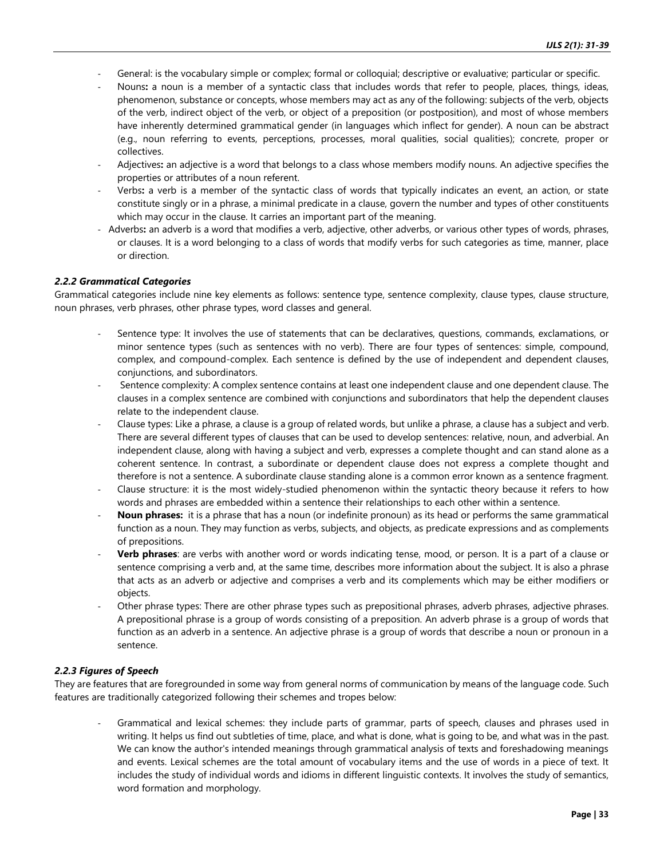- General: is the vocabulary simple or complex; formal or colloquial; descriptive or evaluative; particular or specific.
- Nouns**:** a noun is a member of a syntactic class that includes words that refer to people, places, things, ideas, phenomenon, substance or concepts, whose members may act as any of the following: subjects of the verb, objects of the verb, indirect object of the verb, or object of a preposition (or postposition), and most of whose members have inherently determined grammatical gender (in languages which inflect for gender). A noun can be abstract (e.g., noun referring to events, perceptions, processes, moral qualities, social qualities); concrete, proper or collectives.
- Adjectives**:** an adjective is a word that belongs to a class whose members modify nouns. An adjective specifies the properties or attributes of a noun referent.
- Verbs**:** a verb is a member of the syntactic class of words that typically indicates an event, an action, or state constitute singly or in a phrase, a minimal predicate in a clause, govern the number and types of other constituents which may occur in the clause. It carries an important part of the meaning.
- Adverbs**:** an adverb is a word that modifies a verb, adjective, other adverbs, or various other types of words, phrases, or clauses. It is a word belonging to a class of words that modify verbs for such categories as time, manner, place or direction.

#### *2.2.2 Grammatical Categories*

Grammatical categories include nine key elements as follows: sentence type, sentence complexity, clause types, clause structure, noun phrases, verb phrases, other phrase types, word classes and general.

- Sentence type: It involves the use of statements that can be declaratives, questions, commands, exclamations, or minor sentence types (such as sentences with no verb). There are four types of sentences: simple, compound, complex, and compound-complex. Each sentence is defined by the use of independent and dependent clauses, conjunctions, and subordinators.
- Sentence complexity: A complex sentence contains at least one independent clause and one dependent clause. The clauses in a complex sentence are combined with conjunctions and subordinators that help the dependent clauses relate to the independent clause.
- Clause types: Like a phrase, a clause is a group of related words, but unlike a phrase, a clause has a subject and verb. There are several different types of clauses that can be used to develop sentences: relative, noun, and adverbial. An independent clause, along with having a subject and verb, expresses a complete thought and can stand alone as a coherent sentence. In contrast, a subordinate or dependent clause does not express a complete thought and therefore is not a sentence. A subordinate clause standing alone is a common error known as a sentence fragment.
- Clause structure: it is the most widely-studied phenomenon within the syntactic theory because it refers to how words and phrases are embedded within a sentence their relationships to each other within a sentence.
- **Noun phrases:** it is a phrase that has a noun (or indefinite pronoun) as its head or performs the same grammatical function as a noun. They may function as verbs, subjects, and objects, as predicate expressions and as complements of prepositions.
- **Verb phrases**: are verbs with another word or words indicating tense, mood, or person. It is a part of a clause or sentence comprising a verb and, at the same time, describes more information about the subject. It is also a phrase that acts as an adverb or adjective and comprises a verb and its complements which may be either modifiers or objects.
- Other phrase types: There are other phrase types such as prepositional phrases, adverb phrases, adjective phrases. A prepositional phrase is a group of words consisting of a preposition. An adverb phrase is a group of words that function as an adverb in a sentence. An adjective phrase is a group of words that describe a noun or pronoun in a sentence.

#### *2.2.3 Figures of Speech*

They are features that are foregrounded in some way from general norms of communication by means of the language code. Such features are traditionally categorized following their schemes and tropes below:

- Grammatical and lexical schemes: they include parts of grammar, parts of speech, clauses and phrases used in writing. It helps us find out subtleties of time, place, and what is done, what is going to be, and what was in the past. We can know the author's intended meanings through grammatical analysis of texts and foreshadowing meanings and events. Lexical schemes are the total amount of vocabulary items and the use of words in a piece of text. It includes the study of individual words and idioms in different linguistic contexts. It involves the study of semantics, word formation and morphology.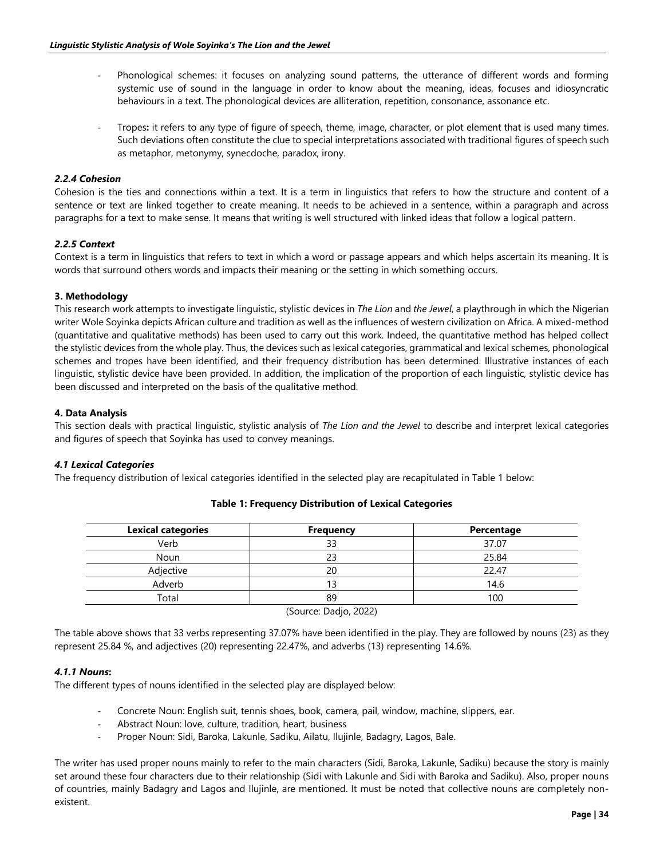- Phonological schemes: it focuses on analyzing sound patterns, the utterance of different words and forming systemic use of sound in the language in order to know about the meaning, ideas, focuses and idiosyncratic behaviours in a text. The phonological devices are alliteration, repetition, consonance, assonance etc.
- Tropes**:** it refers to any type of figure of speech, theme, image, character, or plot element that is used many times. Such deviations often constitute the clue to special interpretations associated with traditional figures of speech such as metaphor, metonymy, synecdoche, paradox, irony.

## *2.2.4 Cohesion*

Cohesion is the ties and connections within a text. It is a term in linguistics that refers to how the structure and content of a sentence or text are linked together to create meaning. It needs to be achieved in a sentence, within a paragraph and across paragraphs for a text to make sense. It means that writing is well structured with linked ideas that follow a logical pattern.

## *2.2.5 Context*

Context is a term in linguistics that refers to text in which a word or passage appears and which helps ascertain its meaning. It is words that surround others words and impacts their meaning or the setting in which something occurs.

## **3. Methodology**

This research work attempts to investigate linguistic, stylistic devices in *The Lion* and *the Jewel*, a playthrough in which the Nigerian writer Wole Soyinka depicts African culture and tradition as well as the influences of western civilization on Africa. A mixed-method (quantitative and qualitative methods) has been used to carry out this work. Indeed, the quantitative method has helped collect the stylistic devices from the whole play. Thus, the devices such as lexical categories, grammatical and lexical schemes, phonological schemes and tropes have been identified, and their frequency distribution has been determined. Illustrative instances of each linguistic, stylistic device have been provided. In addition, the implication of the proportion of each linguistic, stylistic device has been discussed and interpreted on the basis of the qualitative method.

#### **4. Data Analysis**

This section deals with practical linguistic, stylistic analysis of *The Lion and the Jewel* to describe and interpret lexical categories and figures of speech that Soyinka has used to convey meanings.

# *4.1 Lexical Categories*

The frequency distribution of lexical categories identified in the selected play are recapitulated in Table 1 below:

| <b>Lexical categories</b> | <b>Frequency</b>   | Percentage |
|---------------------------|--------------------|------------|
| Verb                      | 33                 | 37.07      |
| Noun                      | 23                 | 25.84      |
| Adjective                 | 20                 | 22.47      |
| Adverb                    | 13                 | 14.6       |
| Total                     | 89                 | 100        |
|                           | $\sim$<br>$     -$ |            |

# **Table 1: Frequency Distribution of Lexical Categories**

(Source: Dadjo, 2022)

The table above shows that 33 verbs representing 37.07% have been identified in the play. They are followed by nouns (23) as they represent 25.84 %, and adjectives (20) representing 22.47%, and adverbs (13) representing 14.6%.

#### *4.1.1 Nouns***:**

The different types of nouns identified in the selected play are displayed below:

- Concrete Noun: English suit, tennis shoes, book, camera, pail, window, machine, slippers, ear.
- Abstract Noun: love, culture, tradition, heart, business
- Proper Noun: Sidi, Baroka, Lakunle, Sadiku, Ailatu, Ilujinle, Badagry, Lagos, Bale.

The writer has used proper nouns mainly to refer to the main characters (Sidi, Baroka, Lakunle, Sadiku) because the story is mainly set around these four characters due to their relationship (Sidi with Lakunle and Sidi with Baroka and Sadiku). Also, proper nouns of countries, mainly Badagry and Lagos and Ilujinle, are mentioned. It must be noted that collective nouns are completely nonexistent.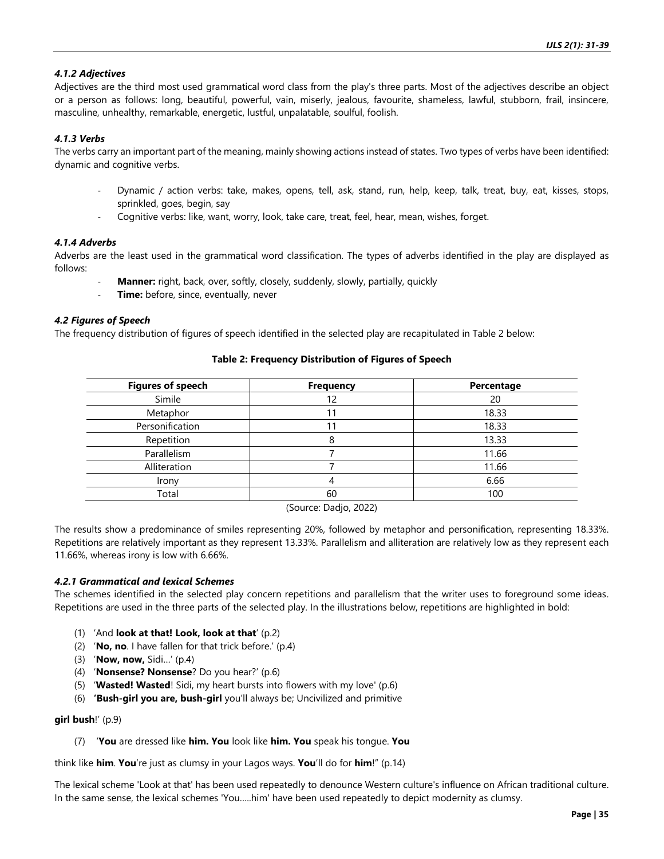## *4.1.2 Adjectives*

Adjectives are the third most used grammatical word class from the play's three parts. Most of the adjectives describe an object or a person as follows: long, beautiful, powerful, vain, miserly, jealous, favourite, shameless, lawful, stubborn, frail, insincere, masculine, unhealthy, remarkable, energetic, lustful, unpalatable, soulful, foolish.

## *4.1.3 Verbs*

The verbs carry an important part of the meaning, mainly showing actions instead of states. Two types of verbs have been identified: dynamic and cognitive verbs.

- Dynamic / action verbs: take, makes, opens, tell, ask, stand, run, help, keep, talk, treat, buy, eat, kisses, stops, sprinkled, goes, begin, say
- Cognitive verbs: like, want, worry, look, take care, treat, feel, hear, mean, wishes, forget.

#### *4.1.4 Adverbs*

Adverbs are the least used in the grammatical word classification. The types of adverbs identified in the play are displayed as follows:

- Manner: right, back, over, softly, closely, suddenly, slowly, partially, quickly
- **Time:** before, since, eventually, never

#### *4.2 Figures of Speech*

The frequency distribution of figures of speech identified in the selected play are recapitulated in Table 2 below:

## **Table 2: Frequency Distribution of Figures of Speech**

| <b>Figures of speech</b> | <b>Frequency</b> | Percentage |
|--------------------------|------------------|------------|
| Simile                   | 12               | 20         |
| Metaphor                 | 11               | 18.33      |
| Personification          | ا 1              | 18.33      |
| Repetition               |                  | 13.33      |
| Parallelism              |                  | 11.66      |
| Alliteration             |                  | 11.66      |
| Irony                    |                  | 6.66       |
| Total                    | 60               | 100        |

(Source: Dadjo, 2022)

The results show a predominance of smiles representing 20%, followed by metaphor and personification, representing 18.33%. Repetitions are relatively important as they represent 13.33%. Parallelism and alliteration are relatively low as they represent each 11.66%, whereas irony is low with 6.66%.

#### *4.2.1 Grammatical and lexical Schemes*

The schemes identified in the selected play concern repetitions and parallelism that the writer uses to foreground some ideas. Repetitions are used in the three parts of the selected play. In the illustrations below, repetitions are highlighted in bold:

- (1) 'And **look at that! Look, look at that**' (p.2)
- (2) '**No, no**. I have fallen for that trick before.' (p.4)
- (3) '**Now, now,** Sidi…' (p.4)
- (4) '**Nonsense? Nonsense**? Do you hear?' (p.6)
- (5) '**Wasted! Wasted**! Sidi, my heart bursts into flowers with my love' (p.6)
- (6) **'Bush-girl you are, bush-girl** you'll always be; Uncivilized and primitive

#### **girl bush**!' (p.9)

(7) '**You** are dressed like **him. You** look like **him. You** speak his tongue. **You**

think like **him**. **You**'re just as clumsy in your Lagos ways. **You**'ll do for **him**!" (p.14)

The lexical scheme 'Look at that' has been used repeatedly to denounce Western culture's influence on African traditional culture. In the same sense, the lexical schemes 'You…..him' have been used repeatedly to depict modernity as clumsy.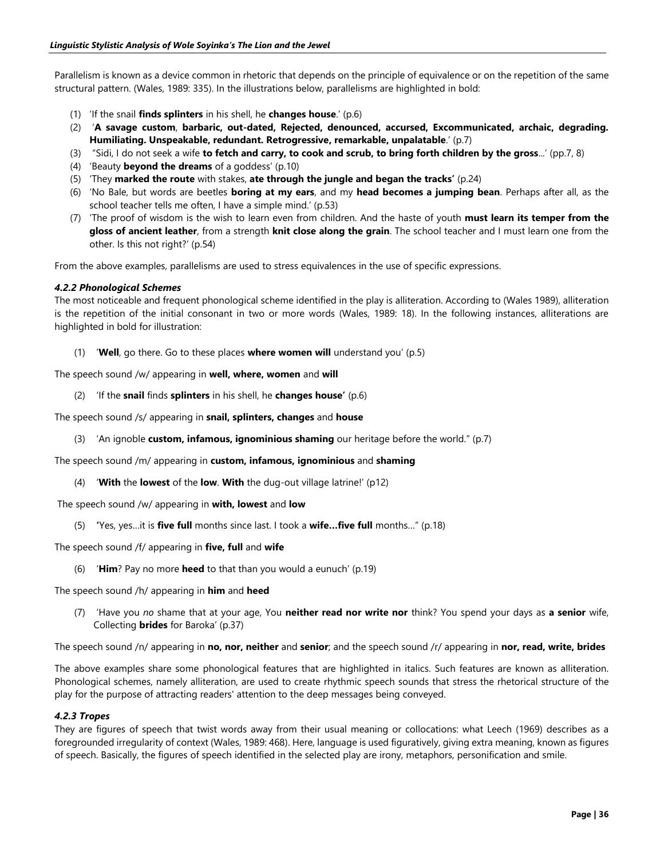Parallelism is known as a device common in rhetoric that depends on the principle of equivalence or on the repetition of the same structural pattern. (Wales, 1989: 335). In the illustrations below, parallelisms are highlighted in bold:

- (1) 'If the snail **finds splinters** in his shell, he **changes house**.' (p.6)
- (2) '**A savage custom**, **barbaric, out-dated, Rejected, denounced, accursed, Excommunicated, archaic, degrading. Humiliating. Unspeakable, redundant. Retrogressive, remarkable, unpalatable**.' (p.7)
- (3) "Sidi, I do not seek a wife **to fetch and carry, to cook and scrub, to bring forth children by the gross**...' (pp.7, 8)
- (4) 'Beauty **beyond the dreams** of a goddess' (p.10)
- (5) 'They **marked the route** with stakes, **ate through the jungle and began the tracks'** (p.24)
- (6) 'No Bale, but words are beetles **boring at my ears**, and my **head becomes a jumping bean**. Perhaps after all, as the school teacher tells me often, I have a simple mind.' (p.53)
- (7) 'The proof of wisdom is the wish to learn even from children. And the haste of youth **must learn its temper from the gloss of ancient leather**, from a strength **knit close along the grain**. The school teacher and I must learn one from the other. Is this not right?' (p.54)

From the above examples, parallelisms are used to stress equivalences in the use of specific expressions.

#### *4.2.2 Phonological Schemes*

The most noticeable and frequent phonological scheme identified in the play is alliteration. According to (Wales 1989), alliteration is the repetition of the initial consonant in two or more words (Wales, 1989: 18). In the following instances, alliterations are highlighted in bold for illustration:

(1) '**Well**, go there. Go to these places **where women will** understand you' (p.5)

The speech sound /w/ appearing in **well, where, women** and **will**

(2) 'If the **snail** finds **splinters** in his shell, he **changes house'** (p.6)

The speech sound /s/ appearing in **snail, splinters, changes** and **house**

(3) 'An ignoble **custom, infamous, ignominious shaming** our heritage before the world." (p.7)

The speech sound /m/ appearing in **custom, infamous, ignominious** and **shaming**

(4) '**With** the **lowest** of the **low**. **With** the dug-out village latrine!' (p12)

The speech sound /w/ appearing in **with, lowest** and **low**

(5) **'**Yes, yes…it is **five full** months since last. I took a **wife…five full** months…" (p.18)

The speech sound /f/ appearing in **five, full** and **wife**

(6) '**Him**? Pay no more **heed** to that than you would a eunuch' (p.19)

The speech sound /h/ appearing in **him** and **heed**

(7) 'Have you *no* shame that at your age, You **neither read nor write nor** think? You spend your days as **a senior** wife, Collecting **brides** for Baroka' (p.37)

The speech sound /n/ appearing in **no, nor, neither** and **senior**; and the speech sound /r/ appearing in **nor, read, write, brides**

The above examples share some phonological features that are highlighted in italics. Such features are known as alliteration. Phonological schemes, namely alliteration, are used to create rhythmic speech sounds that stress the rhetorical structure of the play for the purpose of attracting readers' attention to the deep messages being conveyed.

#### *4.2.3 Tropes*

They are figures of speech that twist words away from their usual meaning or collocations: what Leech (1969) describes as a foregrounded irregularity of context (Wales, 1989: 468). Here, language is used figuratively, giving extra meaning, known as figures of speech. Basically, the figures of speech identified in the selected play are irony, metaphors, personification and smile.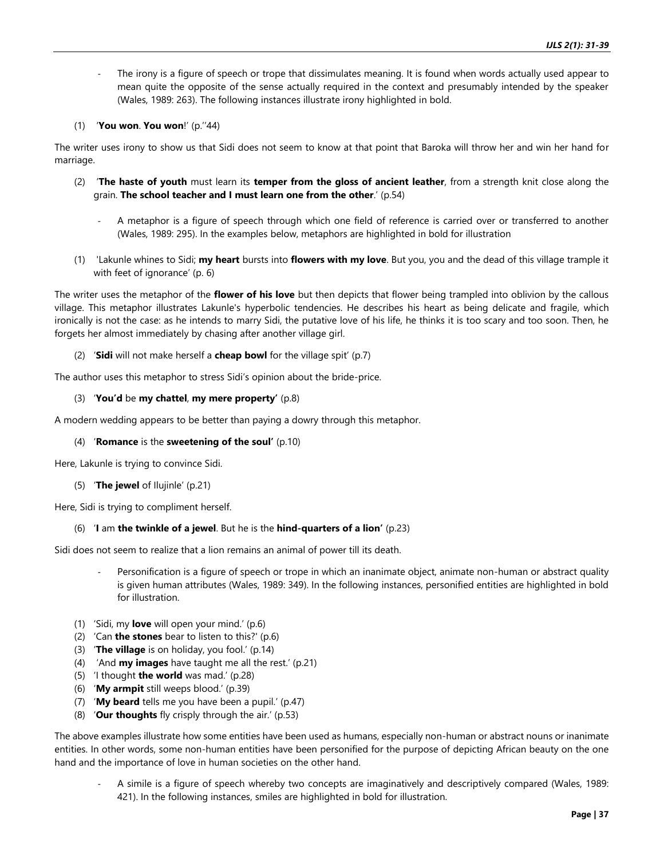The irony is a figure of speech or trope that dissimulates meaning. It is found when words actually used appear to mean quite the opposite of the sense actually required in the context and presumably intended by the speaker (Wales, 1989: 263). The following instances illustrate irony highlighted in bold.

## (1) '**You won**. **You won**!' (p.''44)

The writer uses irony to show us that Sidi does not seem to know at that point that Baroka will throw her and win her hand for marriage.

- (2) '**The haste of youth** must learn its **temper from the gloss of ancient leather**, from a strength knit close along the grain. **The school teacher and I must learn one from the other**.' (p.54)
	- A metaphor is a figure of speech through which one field of reference is carried over or transferred to another (Wales, 1989: 295). In the examples below, metaphors are highlighted in bold for illustration
- (1) 'Lakunle whines to Sidi; **my heart** bursts into **flowers with my love**. But you, you and the dead of this village trample it with feet of ignorance' (p. 6)

The writer uses the metaphor of the **flower of his love** but then depicts that flower being trampled into oblivion by the callous village. This metaphor illustrates Lakunle's hyperbolic tendencies. He describes his heart as being delicate and fragile, which ironically is not the case: as he intends to marry Sidi, the putative love of his life, he thinks it is too scary and too soon. Then, he forgets her almost immediately by chasing after another village girl.

(2) '**Sidi** will not make herself a **cheap bowl** for the village spit' (p.7)

The author uses this metaphor to stress Sidi's opinion about the bride-price.

(3) '**You'd** be **my chattel**, **my mere property'** (p.8)

A modern wedding appears to be better than paying a dowry through this metaphor.

#### (4) '**Romance** is the **sweetening of the soul'** (p.10)

Here, Lakunle is trying to convince Sidi.

(5) '**The jewel** of Ilujinle' (p.21)

Here, Sidi is trying to compliment herself.

# (6) '**I** am **the twinkle of a jewel**. But he is the **hind-quarters of a lion'** (p.23)

Sidi does not seem to realize that a lion remains an animal of power till its death.

- Personification is a figure of speech or trope in which an inanimate object, animate non-human or abstract quality is given human attributes (Wales, 1989: 349). In the following instances, personified entities are highlighted in bold for illustration.
- (1) 'Sidi, my **love** will open your mind.' (p.6)
- (2) 'Can **the stones** bear to listen to this?' (p.6)
- (3) '**The village** is on holiday, you fool.' (p.14)
- (4) 'And **my images** have taught me all the rest.' (p.21)
- (5) 'I thought **the world** was mad.' (p.28)
- (6) '**My armpit** still weeps blood.' (p.39)
- (7) '**My beard** tells me you have been a pupil.' (p.47)
- (8) '**Our thoughts** fly crisply through the air.' (p.53)

The above examples illustrate how some entities have been used as humans, especially non-human or abstract nouns or inanimate entities. In other words, some non-human entities have been personified for the purpose of depicting African beauty on the one hand and the importance of love in human societies on the other hand.

- A simile is a figure of speech whereby two concepts are imaginatively and descriptively compared (Wales, 1989: 421). In the following instances, smiles are highlighted in bold for illustration.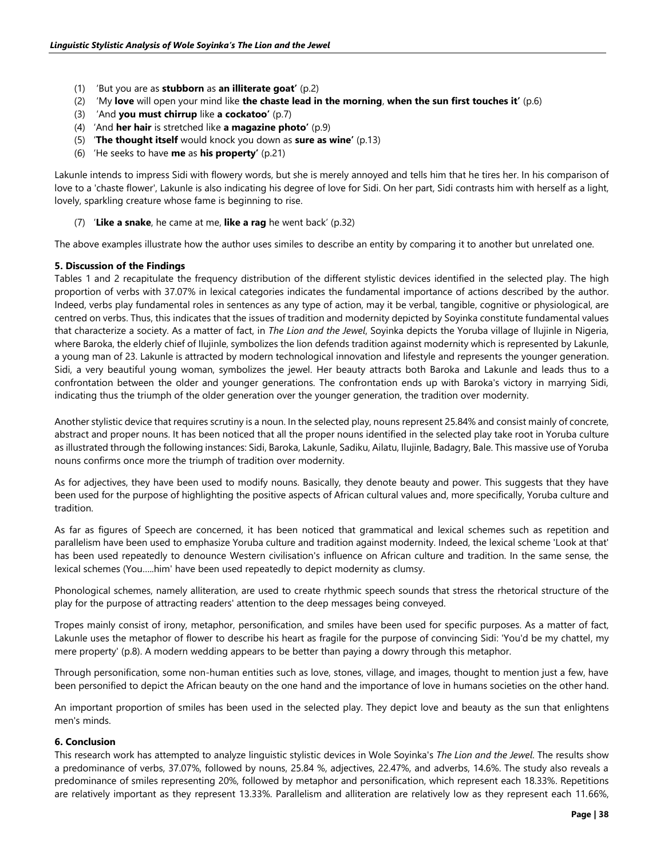- (1) 'But you are as **stubborn** as **an illiterate goat'** (p.2)
- (2) 'My **love** will open your mind like **the chaste lead in the morning**, **when the sun first touches it'** (p.6)
- (3) 'And **you must chirrup** like **a cockatoo'** (p.7)
- (4) 'And **her hair** is stretched like **a magazine photo'** (p.9)
- (5) '**The thought itself** would knock you down as **sure as wine'** (p.13)
- (6) 'He seeks to have **me** as **his property'** (p.21)

Lakunle intends to impress Sidi with flowery words, but she is merely annoyed and tells him that he tires her. In his comparison of love to a 'chaste flower', Lakunle is also indicating his degree of love for Sidi. On her part, Sidi contrasts him with herself as a light, lovely, sparkling creature whose fame is beginning to rise.

(7) '**Like a snake**, he came at me, **like a rag** he went back' (p.32)

The above examples illustrate how the author uses similes to describe an entity by comparing it to another but unrelated one.

## **5. Discussion of the Findings**

Tables 1 and 2 recapitulate the frequency distribution of the different stylistic devices identified in the selected play. The high proportion of verbs with 37.07% in lexical categories indicates the fundamental importance of actions described by the author. Indeed, verbs play fundamental roles in sentences as any type of action, may it be verbal, tangible, cognitive or physiological, are centred on verbs. Thus, this indicates that the issues of tradition and modernity depicted by Soyinka constitute fundamental values that characterize a society. As a matter of fact, in *The Lion and the Jewel*, Soyinka depicts the Yoruba village of Ilujinle in Nigeria, where Baroka, the elderly chief of Ilujinle, symbolizes the lion defends tradition against modernity which is represented by Lakunle, a young man of 23. Lakunle is attracted by modern technological innovation and lifestyle and represents the younger generation. Sidi, a very beautiful young woman, symbolizes the jewel. Her beauty attracts both Baroka and Lakunle and leads thus to a confrontation between the older and younger generations. The confrontation ends up with Baroka's victory in marrying Sidi, indicating thus the triumph of the older generation over the younger generation, the tradition over modernity.

Another stylistic device that requires scrutiny is a noun. In the selected play, nouns represent 25.84% and consist mainly of concrete, abstract and proper nouns. It has been noticed that all the proper nouns identified in the selected play take root in Yoruba culture as illustrated through the following instances: Sidi, Baroka, Lakunle, Sadiku, Ailatu, Ilujinle, Badagry, Bale. This massive use of Yoruba nouns confirms once more the triumph of tradition over modernity.

As for adjectives, they have been used to modify nouns. Basically, they denote beauty and power. This suggests that they have been used for the purpose of highlighting the positive aspects of African cultural values and, more specifically, Yoruba culture and tradition.

As far as figures of Speech are concerned, it has been noticed that grammatical and lexical schemes such as repetition and parallelism have been used to emphasize Yoruba culture and tradition against modernity. Indeed, the lexical scheme 'Look at that' has been used repeatedly to denounce Western civilisation's influence on African culture and tradition. In the same sense, the lexical schemes (You…..him' have been used repeatedly to depict modernity as clumsy.

Phonological schemes, namely alliteration, are used to create rhythmic speech sounds that stress the rhetorical structure of the play for the purpose of attracting readers' attention to the deep messages being conveyed.

Tropes mainly consist of irony, metaphor, personification, and smiles have been used for specific purposes. As a matter of fact, Lakunle uses the metaphor of flower to describe his heart as fragile for the purpose of convincing Sidi: 'You'd be my chattel, my mere property' (p.8). A modern wedding appears to be better than paying a dowry through this metaphor.

Through personification, some non-human entities such as love, stones, village, and images, thought to mention just a few, have been personified to depict the African beauty on the one hand and the importance of love in humans societies on the other hand.

An important proportion of smiles has been used in the selected play. They depict love and beauty as the sun that enlightens men's minds.

#### **6. Conclusion**

This research work has attempted to analyze linguistic stylistic devices in Wole Soyinka's *The Lion and the Jewel*. The results show a predominance of verbs, 37.07%, followed by nouns, 25.84 %, adjectives, 22.47%, and adverbs, 14.6%. The study also reveals a predominance of smiles representing 20%, followed by metaphor and personification, which represent each 18.33%. Repetitions are relatively important as they represent 13.33%. Parallelism and alliteration are relatively low as they represent each 11.66%,